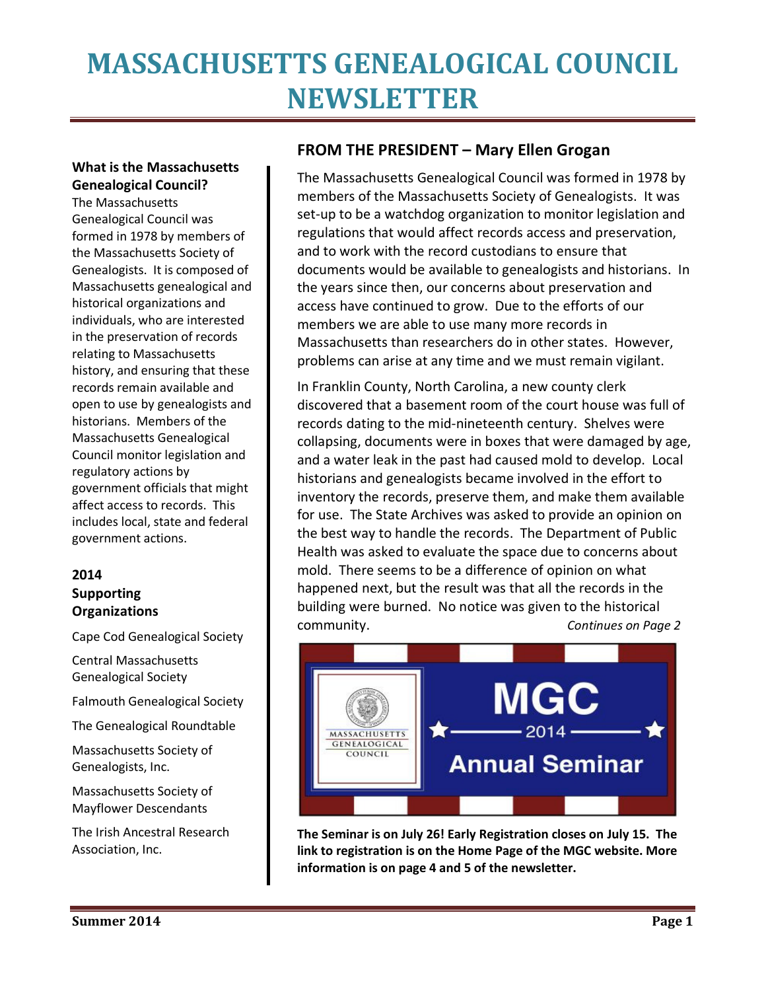## **What is the Massachusetts Genealogical Council?**

The Massachusetts Genealogical Council was formed in 1978 by members of the Massachusetts Society of Genealogists. It is composed of Massachusetts genealogical and historical organizations and individuals, who are interested in the preservation of records relating to Massachusetts history, and ensuring that these records remain available and open to use by genealogists and historians. Members of the Massachusetts Genealogical Council monitor legislation and regulatory actions by government officials that might affect access to records. This includes local, state and federal government actions.

### **2014 Supporting Organizations**

Cape Cod Genealogical Society

Central Massachusetts Genealogical Society

Falmouth Genealogical Society

The Genealogical Roundtable

Massachusetts Society of Genealogists, Inc.

Massachusetts Society of Mayflower Descendants

The Irish Ancestral Research Association, Inc.

### **FROM THE PRESIDENT – Mary Ellen Grogan**

The Massachusetts Genealogical Council was formed in 1978 by members of the Massachusetts Society of Genealogists. It was set-up to be a watchdog organization to monitor legislation and regulations that would affect records access and preservation, and to work with the record custodians to ensure that documents would be available to genealogists and historians. In the years since then, our concerns about preservation and access have continued to grow. Due to the efforts of our members we are able to use many more records in Massachusetts than researchers do in other states. However, problems can arise at any time and we must remain vigilant.

In Franklin County, North Carolina, a new county clerk discovered that a basement room of the court house was full of records dating to the mid-nineteenth century. Shelves were collapsing, documents were in boxes that were damaged by age, and a water leak in the past had caused mold to develop. Local historians and genealogists became involved in the effort to inventory the records, preserve them, and make them available for use. The State Archives was asked to provide an opinion on the best way to handle the records. The Department of Public Health was asked to evaluate the space due to concerns about mold. There seems to be a difference of opinion on what happened next, but the result was that all the records in the building were burned. No notice was given to the historical community. *Continues on Page 2*



**The Seminar is on July 26! Early Registration closes on July 15. The link to registration is on the Home Page of the MGC website. More information is on page 4 and 5 of the newsletter.**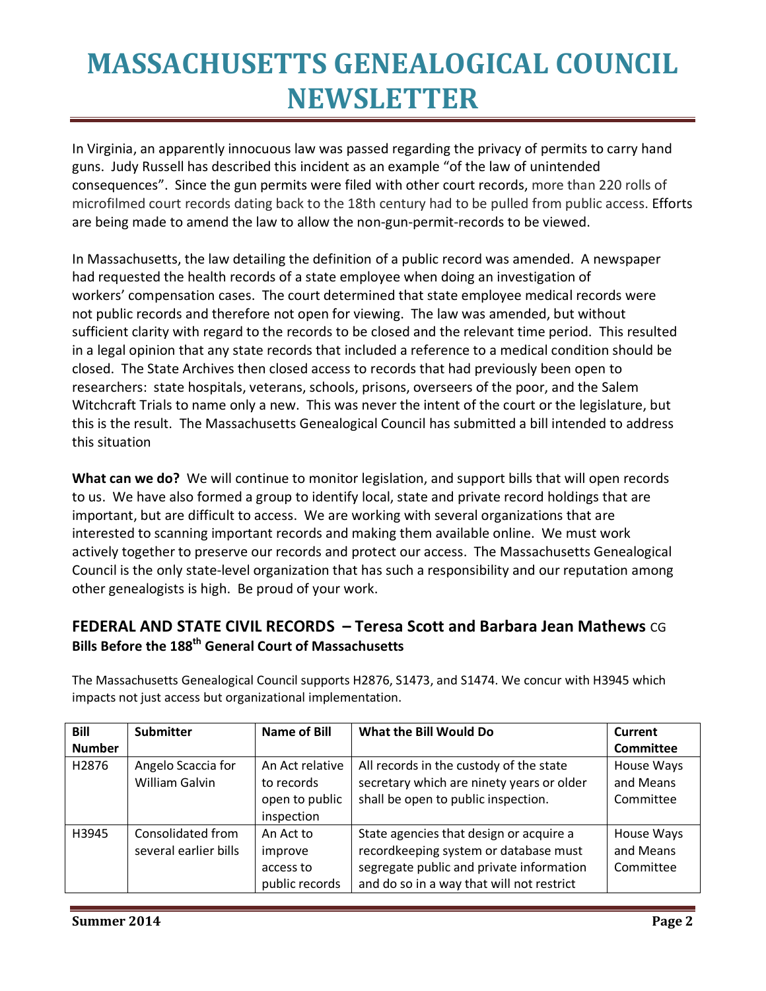In Virginia, an apparently innocuous law was passed regarding the privacy of permits to carry hand guns. Judy Russell has described this incident as an example "of the law of unintended consequences". Since the gun permits were filed with other court records, more than 220 rolls of microfilmed court records dating back to the 18th century had to be pulled from public access. Efforts are being made to amend the law to allow the non-gun-permit-records to be viewed.

In Massachusetts, the law detailing the definition of a public record was amended. A newspaper had requested the health records of a state employee when doing an investigation of workers' compensation cases. The court determined that state employee medical records were not public records and therefore not open for viewing. The law was amended, but without sufficient clarity with regard to the records to be closed and the relevant time period. This resulted in a legal opinion that any state records that included a reference to a medical condition should be closed. The State Archives then closed access to records that had previously been open to researchers: state hospitals, veterans, schools, prisons, overseers of the poor, and the Salem Witchcraft Trials to name only a new. This was never the intent of the court or the legislature, but this is the result. The Massachusetts Genealogical Council has submitted a bill intended to address this situation

**What can we do?** We will continue to monitor legislation, and support bills that will open records to us. We have also formed a group to identify local, state and private record holdings that are important, but are difficult to access. We are working with several organizations that are interested to scanning important records and making them available online. We must work actively together to preserve our records and protect our access. The Massachusetts Genealogical Council is the only state-level organization that has such a responsibility and our reputation among other genealogists is high. Be proud of your work.

### **FEDERAL AND STATE CIVIL RECORDS – Teresa Scott and Barbara Jean Mathews** CG **Bills Before the 188th General Court of Massachusetts**

| Bill          | <b>Submitter</b>      | <b>Name of Bill</b> | What the Bill Would Do                    | Current          |
|---------------|-----------------------|---------------------|-------------------------------------------|------------------|
| <b>Number</b> |                       |                     |                                           | <b>Committee</b> |
| H2876         | Angelo Scaccia for    | An Act relative     | All records in the custody of the state   | House Ways       |
|               | <b>William Galvin</b> | to records          | secretary which are ninety years or older | and Means        |
|               |                       | open to public      | shall be open to public inspection.       | Committee        |
|               |                       | inspection          |                                           |                  |
| H3945         | Consolidated from     | An Act to           | State agencies that design or acquire a   | House Ways       |
|               | several earlier bills | improve             | recordkeeping system or database must     | and Means        |
|               |                       | access to           | segregate public and private information  | Committee        |
|               |                       | public records      | and do so in a way that will not restrict |                  |

The Massachusetts Genealogical Council supports H2876, S1473, and S1474. We concur with H3945 which impacts not just access but organizational implementation.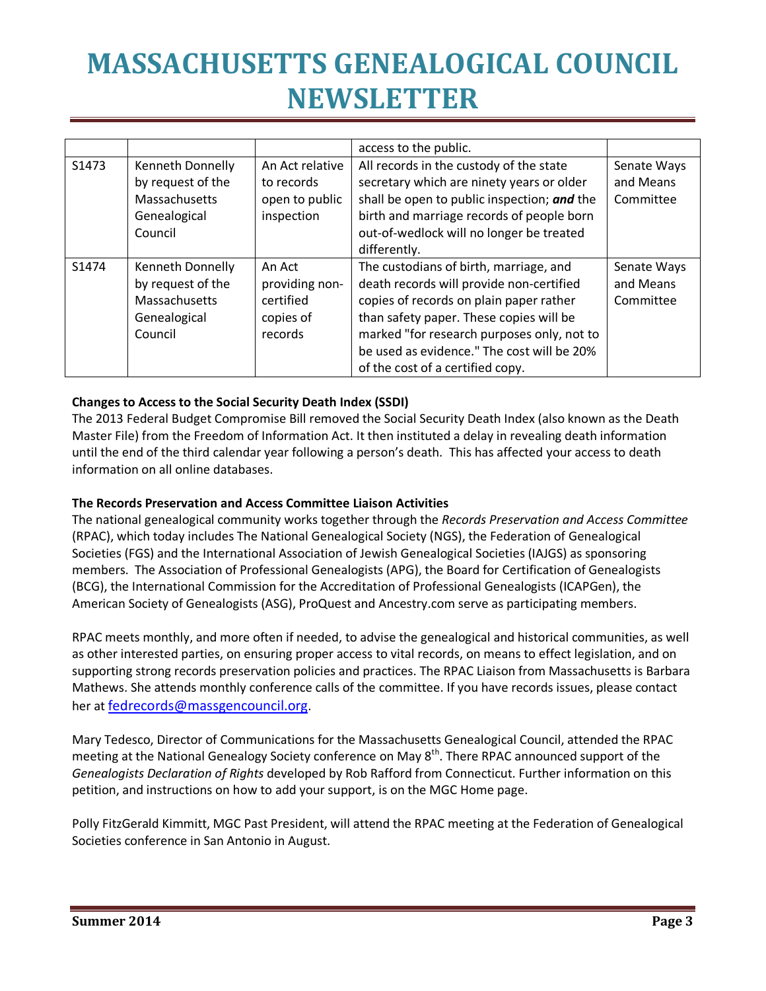|       |                         |                 | access to the public.                       |             |
|-------|-------------------------|-----------------|---------------------------------------------|-------------|
| S1473 | <b>Kenneth Donnelly</b> | An Act relative | All records in the custody of the state     | Senate Ways |
|       | by request of the       | to records      | secretary which are ninety years or older   | and Means   |
|       | Massachusetts           | open to public  | shall be open to public inspection; and the | Committee   |
|       | Genealogical            | inspection      | birth and marriage records of people born   |             |
|       | Council                 |                 | out-of-wedlock will no longer be treated    |             |
|       |                         |                 | differently.                                |             |
| S1474 | <b>Kenneth Donnelly</b> | An Act          | The custodians of birth, marriage, and      | Senate Ways |
|       | by request of the       | providing non-  | death records will provide non-certified    | and Means   |
|       | Massachusetts           | certified       | copies of records on plain paper rather     | Committee   |
|       | Genealogical            | copies of       | than safety paper. These copies will be     |             |
|       | Council                 | records         | marked "for research purposes only, not to  |             |
|       |                         |                 | be used as evidence." The cost will be 20%  |             |
|       |                         |                 | of the cost of a certified copy.            |             |

#### **Changes to Access to the Social Security Death Index (SSDI)**

The 2013 Federal Budget Compromise Bill removed the Social Security Death Index (also known as the Death Master File) from the Freedom of Information Act. It then instituted a delay in revealing death information until the end of the third calendar year following a person's death. This has affected your access to death information on all online databases.

#### **The Records Preservation and Access Committee Liaison Activities**

The national genealogical community works together through the *Records Preservation and Access Committee* (RPAC), which today includes The National Genealogical Society (NGS), the Federation of Genealogical Societies (FGS) and the International Association of Jewish Genealogical Societies (IAJGS) as sponsoring members. The Association of Professional Genealogists (APG), the Board for Certification of Genealogists (BCG), the International Commission for the Accreditation of Professional Genealogists (ICAPGen), the American Society of Genealogists (ASG), ProQuest and Ancestry.com serve as participating members.

RPAC meets monthly, and more often if needed, to advise the genealogical and historical communities, as well as other interested parties, on ensuring proper access to vital records, on means to effect legislation, and on supporting strong records preservation policies and practices. The RPAC Liaison from Massachusetts is Barbara Mathews. She attends monthly conference calls of the committee. If you have records issues, please contact her at fedrecords@massgencouncil.org.

Mary Tedesco, Director of Communications for the Massachusetts Genealogical Council, attended the RPAC meeting at the National Genealogy Society conference on May 8<sup>th</sup>. There RPAC announced support of the *Genealogists Declaration of Rights* developed by Rob Rafford from Connecticut. Further information on this petition, and instructions on how to add your support, is on the MGC Home page.

Polly FitzGerald Kimmitt, MGC Past President, will attend the RPAC meeting at the Federation of Genealogical Societies conference in San Antonio in August.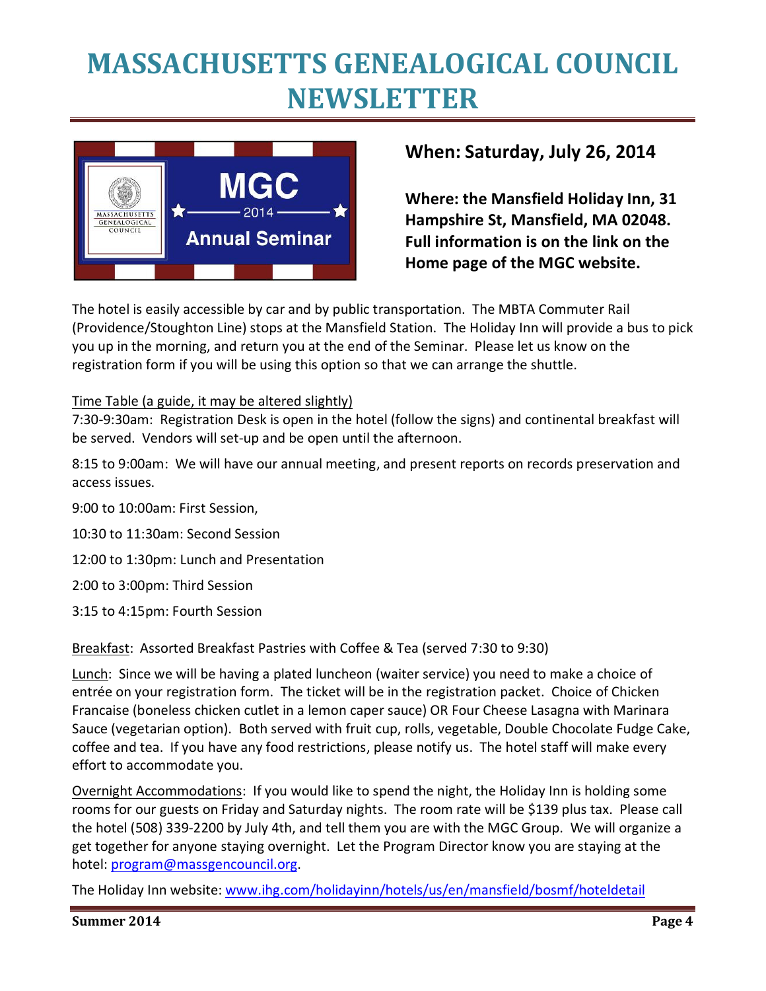

## **When: Saturday, July 26, 2014**

**Where: the Mansfield Holiday Inn, 31 Hampshire St, Mansfield, MA 02048. Full information is on the link on the Home page of the MGC website.** 

The hotel is easily accessible by car and by public transportation. The MBTA Commuter Rail (Providence/Stoughton Line) stops at the Mansfield Station. The Holiday Inn will provide a bus to pick you up in the morning, and return you at the end of the Seminar. Please let us know on the registration form if you will be using this option so that we can arrange the shuttle.

#### Time Table (a guide, it may be altered slightly)

7:30-9:30am: Registration Desk is open in the hotel (follow the signs) and continental breakfast will be served. Vendors will set-up and be open until the afternoon.

8:15 to 9:00am: We will have our annual meeting, and present reports on records preservation and access issues.

9:00 to 10:00am: First Session,

10:30 to 11:30am: Second Session

12:00 to 1:30pm: Lunch and Presentation

2:00 to 3:00pm: Third Session

3:15 to 4:15pm: Fourth Session

Breakfast: Assorted Breakfast Pastries with Coffee & Tea (served 7:30 to 9:30)

Lunch: Since we will be having a plated luncheon (waiter service) you need to make a choice of entrée on your registration form. The ticket will be in the registration packet. Choice of Chicken Francaise (boneless chicken cutlet in a lemon caper sauce) OR Four Cheese Lasagna with Marinara Sauce (vegetarian option). Both served with fruit cup, rolls, vegetable, Double Chocolate Fudge Cake, coffee and tea. If you have any food restrictions, please notify us. The hotel staff will make every effort to accommodate you.

Overnight Accommodations: If you would like to spend the night, the Holiday Inn is holding some rooms for our guests on Friday and Saturday nights. The room rate will be \$139 plus tax. Please call the hotel (508) 339-2200 by July 4th, and tell them you are with the MGC Group. We will organize a get together for anyone staying overnight. Let the Program Director know you are staying at the hotel: program@massgencouncil.org.

The Holiday Inn website: www.ihg.com/holidayinn/hotels/us/en/mansfield/bosmf/hoteldetail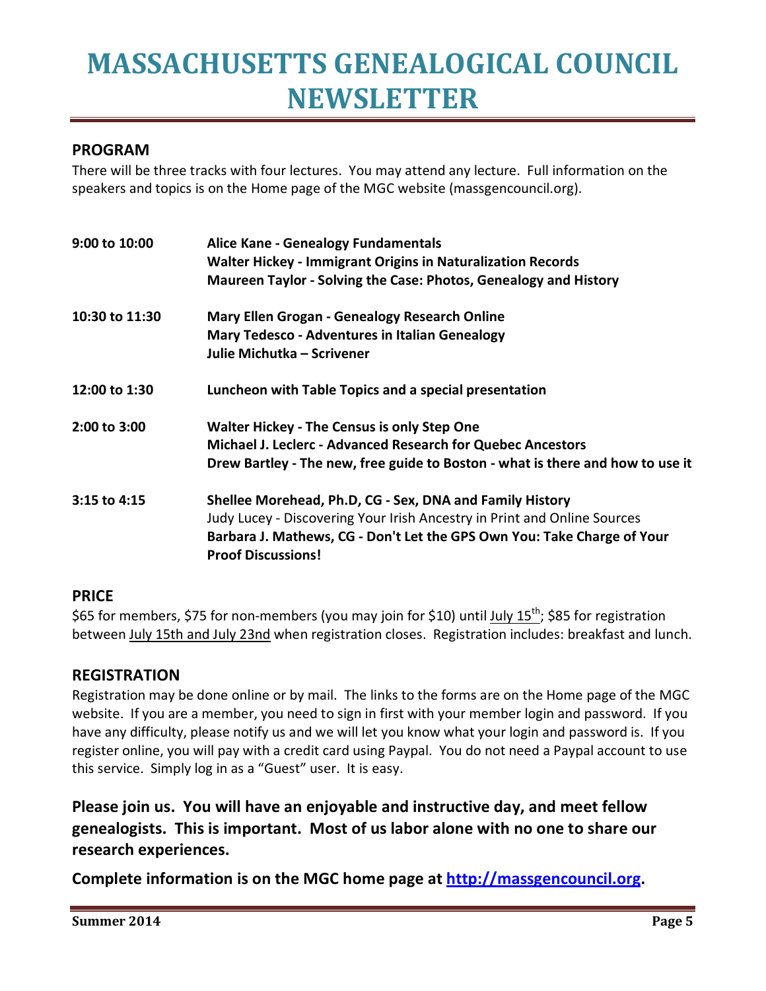### **PROGRAM**

There will be three tracks with four lectures. You may attend any lecture. Full information on the speakers and topics is on the Home page of the MGC website (massgencouncil.org).

| 9:00 to 10:00  | <b>Alice Kane - Genealogy Fundamentals</b><br><b>Walter Hickey - Immigrant Origins in Naturalization Records</b><br>Maureen Taylor - Solving the Case: Photos, Genealogy and History |
|----------------|--------------------------------------------------------------------------------------------------------------------------------------------------------------------------------------|
| 10:30 to 11:30 | <b>Mary Ellen Grogan - Genealogy Research Online</b>                                                                                                                                 |
|                | <b>Mary Tedesco - Adventures in Italian Genealogy</b>                                                                                                                                |
|                | Julie Michutka - Scrivener                                                                                                                                                           |
| 12:00 to 1:30  | Luncheon with Table Topics and a special presentation                                                                                                                                |
| 2:00 to 3:00   | <b>Walter Hickey - The Census is only Step One</b>                                                                                                                                   |
|                | Michael J. Leclerc - Advanced Research for Quebec Ancestors                                                                                                                          |
|                | Drew Bartley - The new, free guide to Boston - what is there and how to use it                                                                                                       |
| 3:15 to 4:15   | Shellee Morehead, Ph.D, CG - Sex, DNA and Family History                                                                                                                             |
|                | Judy Lucey - Discovering Your Irish Ancestry in Print and Online Sources                                                                                                             |
|                | Barbara J. Mathews, CG - Don't Let the GPS Own You: Take Charge of Your<br><b>Proof Discussions!</b>                                                                                 |

#### **PRICE**

\$65 for members, \$75 for non-members (you may join for \$10) until July  $15^{th}$ ; \$85 for registration between July 15th and July 23nd when registration closes. Registration includes: breakfast and lunch.

#### **REGISTRATION**

Registration may be done online or by mail. The links to the forms are on the Home page of the MGC website. If you are a member, you need to sign in first with your member login and password. If you have any difficulty, please notify us and we will let you know what your login and password is. If you register online, you will pay with a credit card using Paypal. You do not need a Paypal account to use this service. Simply log in as a "Guest" user. It is easy.

**Please join us. You will have an enjoyable and instructive day, and meet fellow genealogists. This is important. Most of us labor alone with no one to share our research experiences.** 

**Complete information is on the MGC home page at http://massgencouncil.org.**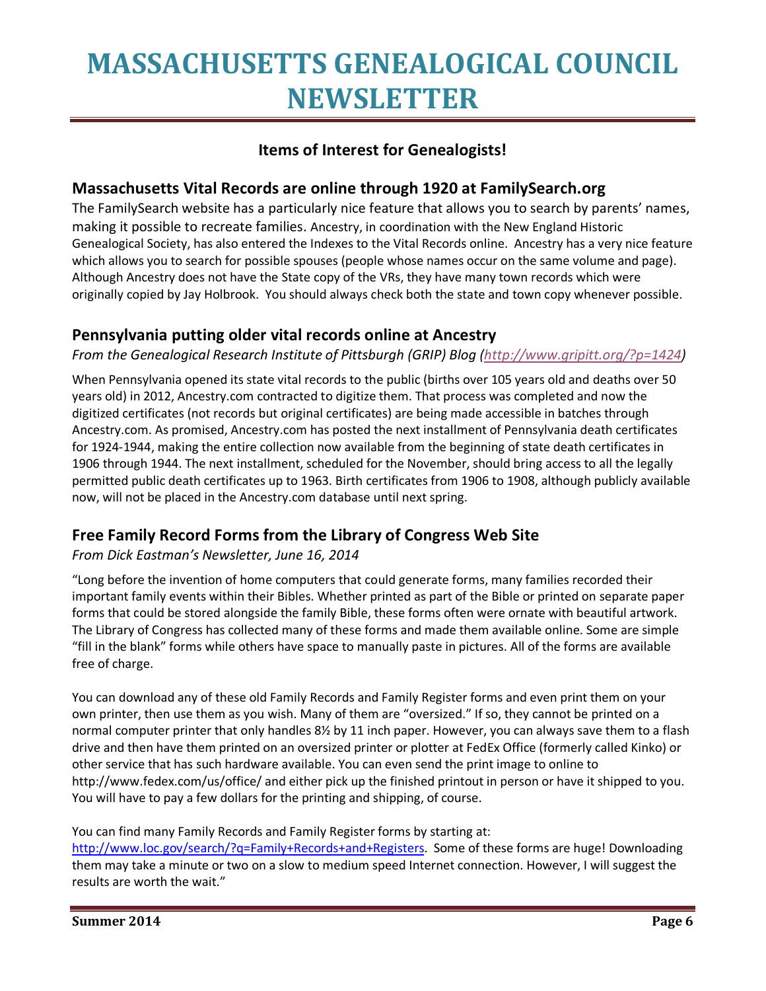### **Items of Interest for Genealogists!**

#### **Massachusetts Vital Records are online through 1920 at FamilySearch.org**

The FamilySearch website has a particularly nice feature that allows you to search by parents' names, making it possible to recreate families. Ancestry, in coordination with the New England Historic Genealogical Society, has also entered the Indexes to the Vital Records online. Ancestry has a very nice feature which allows you to search for possible spouses (people whose names occur on the same volume and page). Although Ancestry does not have the State copy of the VRs, they have many town records which were originally copied by Jay Holbrook. You should always check both the state and town copy whenever possible.

#### **Pennsylvania putting older vital records online at Ancestry**

*From the Genealogical Research Institute of Pittsburgh (GRIP) Blog (http://www.gripitt.org/?p=1424)* 

When Pennsylvania opened its state vital records to the public (births over 105 years old and deaths over 50 years old) in 2012, Ancestry.com contracted to digitize them. That process was completed and now the digitized certificates (not records but original certificates) are being made accessible in batches through Ancestry.com. As promised, Ancestry.com has posted the next installment of Pennsylvania death certificates for 1924-1944, making the entire collection now available from the beginning of state death certificates in 1906 through 1944. The next installment, scheduled for the November, should bring access to all the legally permitted public death certificates up to 1963. Birth certificates from 1906 to 1908, although publicly available now, will not be placed in the Ancestry.com database until next spring.

#### **Free Family Record Forms from the Library of Congress Web Site**

#### *From Dick Eastman's Newsletter, June 16, 2014*

"Long before the invention of home computers that could generate forms, many families recorded their important family events within their Bibles. Whether printed as part of the Bible or printed on separate paper forms that could be stored alongside the family Bible, these forms often were ornate with beautiful artwork. The Library of Congress has collected many of these forms and made them available online. Some are simple "fill in the blank" forms while others have space to manually paste in pictures. All of the forms are available free of charge.

You can download any of these old Family Records and Family Register forms and even print them on your own printer, then use them as you wish. Many of them are "oversized." If so, they cannot be printed on a normal computer printer that only handles 8½ by 11 inch paper. However, you can always save them to a flash drive and then have them printed on an oversized printer or plotter at FedEx Office (formerly called Kinko) or other service that has such hardware available. You can even send the print image to online to http://www.fedex.com/us/office/ and either pick up the finished printout in person or have it shipped to you. You will have to pay a few dollars for the printing and shipping, of course.

#### You can find many Family Records and Family Register forms by starting at:

http://www.loc.gov/search/?q=Family+Records+and+Registers. Some of these forms are huge! Downloading them may take a minute or two on a slow to medium speed Internet connection. However, I will suggest the results are worth the wait."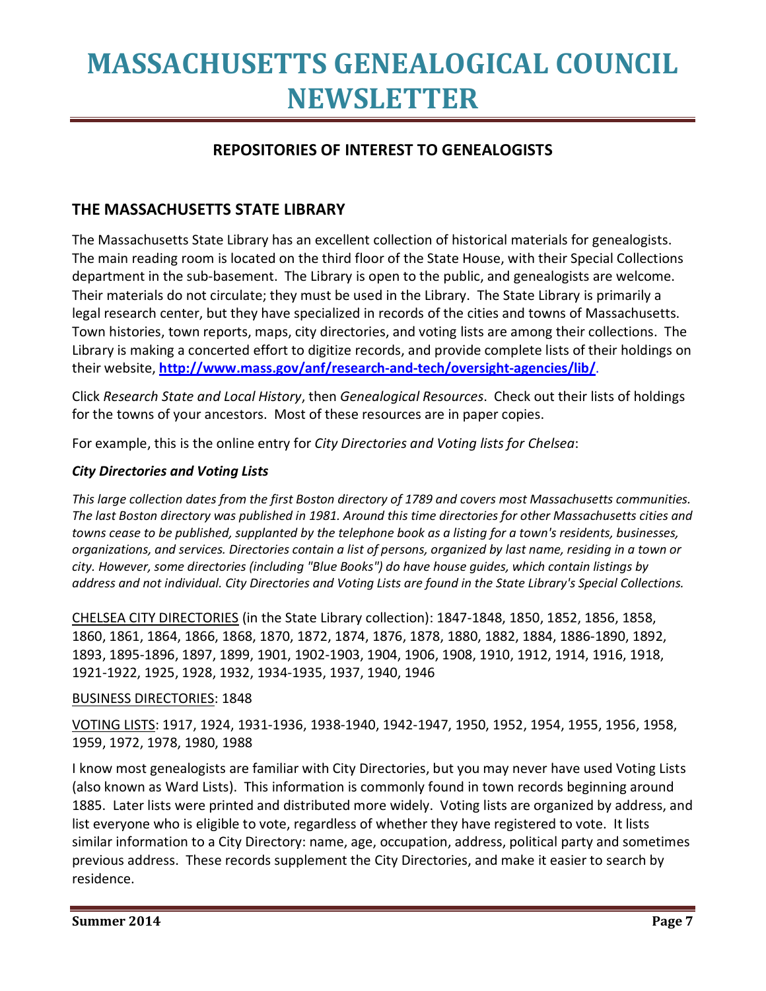### **REPOSITORIES OF INTEREST TO GENEALOGISTS**

#### **THE MASSACHUSETTS STATE LIBRARY**

The Massachusetts State Library has an excellent collection of historical materials for genealogists. The main reading room is located on the third floor of the State House, with their Special Collections department in the sub-basement. The Library is open to the public, and genealogists are welcome. Their materials do not circulate; they must be used in the Library. The State Library is primarily a legal research center, but they have specialized in records of the cities and towns of Massachusetts. Town histories, town reports, maps, city directories, and voting lists are among their collections. The Library is making a concerted effort to digitize records, and provide complete lists of their holdings on their website, **http://www.mass.gov/anf/research-and-tech/oversight-agencies/lib/**.

Click *Research State and Local History*, then *Genealogical Resources*. Check out their lists of holdings for the towns of your ancestors. Most of these resources are in paper copies.

For example, this is the online entry for *City Directories and Voting lists for Chelsea*:

#### *City Directories and Voting Lists*

*This large collection dates from the first Boston directory of 1789 and covers most Massachusetts communities. The last Boston directory was published in 1981. Around this time directories for other Massachusetts cities and towns cease to be published, supplanted by the telephone book as a listing for a town's residents, businesses, organizations, and services. Directories contain a list of persons, organized by last name, residing in a town or city. However, some directories (including "Blue Books") do have house guides, which contain listings by address and not individual. City Directories and Voting Lists are found in the State Library's Special Collections.* 

CHELSEA CITY DIRECTORIES (in the State Library collection): 1847-1848, 1850, 1852, 1856, 1858, 1860, 1861, 1864, 1866, 1868, 1870, 1872, 1874, 1876, 1878, 1880, 1882, 1884, 1886-1890, 1892, 1893, 1895-1896, 1897, 1899, 1901, 1902-1903, 1904, 1906, 1908, 1910, 1912, 1914, 1916, 1918, 1921-1922, 1925, 1928, 1932, 1934-1935, 1937, 1940, 1946

#### BUSINESS DIRECTORIES: 1848

VOTING LISTS: 1917, 1924, 1931-1936, 1938-1940, 1942-1947, 1950, 1952, 1954, 1955, 1956, 1958, 1959, 1972, 1978, 1980, 1988

I know most genealogists are familiar with City Directories, but you may never have used Voting Lists (also known as Ward Lists). This information is commonly found in town records beginning around 1885. Later lists were printed and distributed more widely. Voting lists are organized by address, and list everyone who is eligible to vote, regardless of whether they have registered to vote. It lists similar information to a City Directory: name, age, occupation, address, political party and sometimes previous address. These records supplement the City Directories, and make it easier to search by residence.